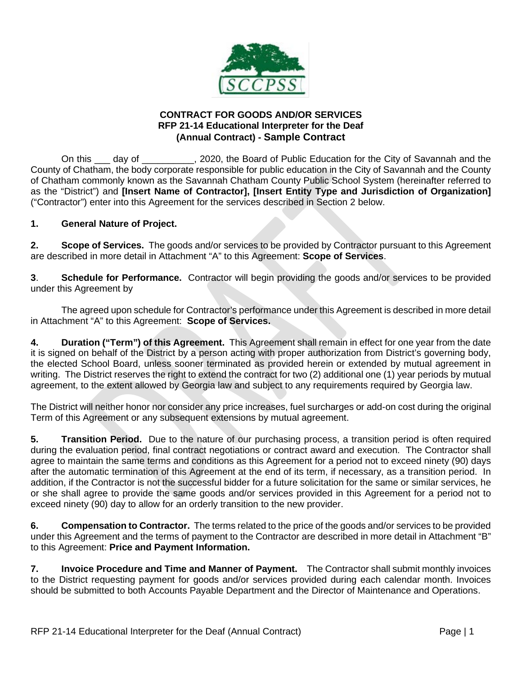

## **CONTRACT FOR GOODS AND/OR SERVICES RFP 21-14 Educational Interpreter for the Deaf (Annual Contract) - Sample Contract**

On this \_\_\_ day of \_\_\_\_\_\_\_\_\_, 2020, the Board of Public Education for the City of Savannah and the County of Chatham, the body corporate responsible for public education in the City of Savannah and the County of Chatham commonly known as the Savannah Chatham County Public School System (hereinafter referred to as the "District") and **[Insert Name of Contractor], [Insert Entity Type and Jurisdiction of Organization]**  ("Contractor") enter into this Agreement for the services described in Section 2 below.

# **1. General Nature of Project.**

**2. Scope of Services.** The goods and/or services to be provided by Contractor pursuant to this Agreement are described in more detail in Attachment "A" to this Agreement: **Scope of Services**.

**3**. **Schedule for Performance.** Contractor will begin providing the goods and/or services to be provided under this Agreement by

The agreed upon schedule for Contractor's performance under this Agreement is described in more detail in Attachment "A" to this Agreement: **Scope of Services.**

**4. Duration ("Term") of this Agreement.** This Agreement shall remain in effect for one year from the date it is signed on behalf of the District by a person acting with proper authorization from District's governing body, the elected School Board, unless sooner terminated as provided herein or extended by mutual agreement in writing. The District reserves the right to extend the contract for two (2) additional one (1) year periods by mutual agreement, to the extent allowed by Georgia law and subject to any requirements required by Georgia law.

The District will neither honor nor consider any price increases, fuel surcharges or add-on cost during the original Term of this Agreement or any subsequent extensions by mutual agreement.

**5. Transition Period.** Due to the nature of our purchasing process, a transition period is often required during the evaluation period, final contract negotiations or contract award and execution. The Contractor shall agree to maintain the same terms and conditions as this Agreement for a period not to exceed ninety (90) days after the automatic termination of this Agreement at the end of its term, if necessary, as a transition period. In addition, if the Contractor is not the successful bidder for a future solicitation for the same or similar services, he or she shall agree to provide the same goods and/or services provided in this Agreement for a period not to exceed ninety (90) day to allow for an orderly transition to the new provider.

**6. Compensation to Contractor.** The terms related to the price of the goods and/or services to be provided under this Agreement and the terms of payment to the Contractor are described in more detail in Attachment "B" to this Agreement: **Price and Payment Information.** 

**7. Invoice Procedure and Time and Manner of Payment.** The Contractor shall submit monthly invoices to the District requesting payment for goods and/or services provided during each calendar month. Invoices should be submitted to both Accounts Payable Department and the Director of Maintenance and Operations.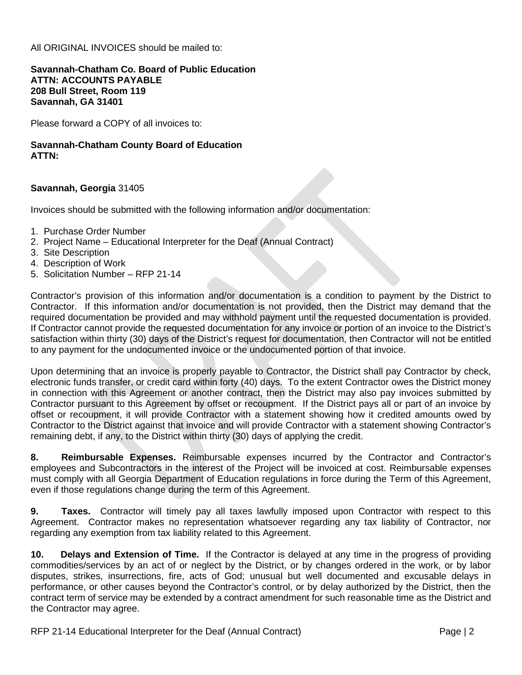All ORIGINAL INVOICES should be mailed to:

#### **Savannah-Chatham Co. Board of Public Education ATTN: ACCOUNTS PAYABLE 208 Bull Street, Room 119 Savannah, GA 31401**

Please forward a COPY of all invoices to:

### **Savannah-Chatham County Board of Education ATTN:**

## **Savannah, Georgia** 31405

Invoices should be submitted with the following information and/or documentation:

- 1. Purchase Order Number
- 2. Project Name Educational Interpreter for the Deaf (Annual Contract)
- 3. Site Description
- 4. Description of Work
- 5. Solicitation Number RFP 21-14

Contractor's provision of this information and/or documentation is a condition to payment by the District to Contractor. If this information and/or documentation is not provided, then the District may demand that the required documentation be provided and may withhold payment until the requested documentation is provided. If Contractor cannot provide the requested documentation for any invoice or portion of an invoice to the District's satisfaction within thirty (30) days of the District's request for documentation, then Contractor will not be entitled to any payment for the undocumented invoice or the undocumented portion of that invoice.

Upon determining that an invoice is properly payable to Contractor, the District shall pay Contractor by check, electronic funds transfer, or credit card within forty (40) days. To the extent Contractor owes the District money in connection with this Agreement or another contract, then the District may also pay invoices submitted by Contractor pursuant to this Agreement by offset or recoupment. If the District pays all or part of an invoice by offset or recoupment, it will provide Contractor with a statement showing how it credited amounts owed by Contractor to the District against that invoice and will provide Contractor with a statement showing Contractor's remaining debt, if any, to the District within thirty (30) days of applying the credit.

**8. Reimbursable Expenses.** Reimbursable expenses incurred by the Contractor and Contractor's employees and Subcontractors in the interest of the Project will be invoiced at cost. Reimbursable expenses must comply with all Georgia Department of Education regulations in force during the Term of this Agreement, even if those regulations change during the term of this Agreement.

**9. Taxes.** Contractor will timely pay all taxes lawfully imposed upon Contractor with respect to this Agreement. Contractor makes no representation whatsoever regarding any tax liability of Contractor, nor regarding any exemption from tax liability related to this Agreement.

**10. Delays and Extension of Time.** If the Contractor is delayed at any time in the progress of providing commodities/services by an act of or neglect by the District, or by changes ordered in the work, or by labor disputes, strikes, insurrections, fire, acts of God; unusual but well documented and excusable delays in performance, or other causes beyond the Contractor's control, or by delay authorized by the District, then the contract term of service may be extended by a contract amendment for such reasonable time as the District and the Contractor may agree.

RFP 21-14 Educational Interpreter for the Deaf (Annual Contract) The Context Context Page | 2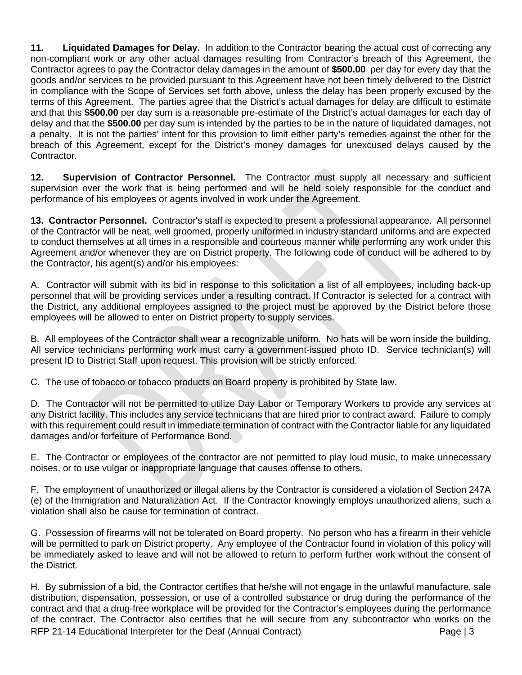**11. Liquidated Damages for Delay.** In addition to the Contractor bearing the actual cost of correcting any non-compliant work or any other actual damages resulting from Contractor's breach of this Agreement, the Contractor agrees to pay the Contractor delay damages in the amount of **\$500.00** per day for every day that the goods and/or services to be provided pursuant to this Agreement have not been timely delivered to the District in compliance with the Scope of Services set forth above, unless the delay has been properly excused by the terms of this Agreement. The parties agree that the District's actual damages for delay are difficult to estimate and that this **\$500.00** per day sum is a reasonable pre-estimate of the District's actual damages for each day of delay and that the **\$500.00** per day sum is intended by the parties to be in the nature of liquidated damages, not a penalty. It is not the parties' intent for this provision to limit either party's remedies against the other for the breach of this Agreement, except for the District's money damages for unexcused delays caused by the Contractor.

**12. Supervision of Contractor Personnel.** The Contractor must supply all necessary and sufficient supervision over the work that is being performed and will be held solely responsible for the conduct and performance of his employees or agents involved in work under the Agreement.

**13. Contractor Personnel.** Contractor's staff is expected to present a professional appearance. All personnel of the Contractor will be neat, well groomed, properly uniformed in industry standard uniforms and are expected to conduct themselves at all times in a responsible and courteous manner while performing any work under this Agreement and/or whenever they are on District property. The following code of conduct will be adhered to by the Contractor, his agent(s) and/or his employees:

A. Contractor will submit with its bid in response to this solicitation a list of all employees, including back-up personnel that will be providing services under a resulting contract. If Contractor is selected for a contract with the District, any additional employees assigned to the project must be approved by the District before those employees will be allowed to enter on District property to supply services.

B. All employees of the Contractor shall wear a recognizable uniform. No hats will be worn inside the building. All service technicians performing work must carry a government-issued photo ID. Service technician(s) will present ID to District Staff upon request. This provision will be strictly enforced.

C. The use of tobacco or tobacco products on Board property is prohibited by State law.

D. The Contractor will not be permitted to utilize Day Labor or Temporary Workers to provide any services at any District facility. This includes any service technicians that are hired prior to contract award. Failure to comply with this requirement could result in immediate termination of contract with the Contractor liable for any liquidated damages and/or forfeiture of Performance Bond.

E. The Contractor or employees of the contractor are not permitted to play loud music, to make unnecessary noises, or to use vulgar or inappropriate language that causes offense to others.

F. The employment of unauthorized or illegal aliens by the Contractor is considered a violation of Section 247A (e) of the Immigration and Naturalization Act. If the Contractor knowingly employs unauthorized aliens, such a violation shall also be cause for termination of contract.

G. Possession of firearms will not be tolerated on Board property. No person who has a firearm in their vehicle will be permitted to park on District property. Any employee of the Contractor found in violation of this policy will be immediately asked to leave and will not be allowed to return to perform further work without the consent of the District.

RFP 21-14 Educational Interpreter for the Deaf (Annual Contract) The Page | 3 H. By submission of a bid, the Contractor certifies that he/she will not engage in the unlawful manufacture, sale distribution, dispensation, possession, or use of a controlled substance or drug during the performance of the contract and that a drug-free workplace will be provided for the Contractor's employees during the performance of the contract. The Contractor also certifies that he will secure from any subcontractor who works on the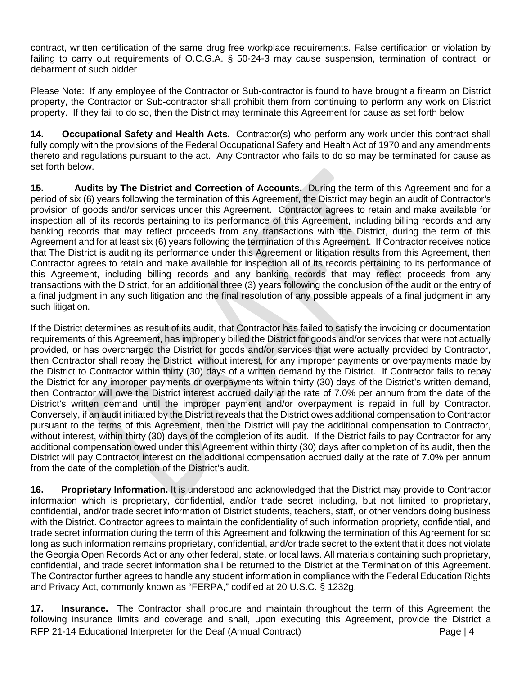contract, written certification of the same drug free workplace requirements. False certification or violation by failing to carry out requirements of O.C.G.A. § 50-24-3 may cause suspension, termination of contract, or debarment of such bidder

Please Note: If any employee of the Contractor or Sub-contractor is found to have brought a firearm on District property, the Contractor or Sub-contractor shall prohibit them from continuing to perform any work on District property. If they fail to do so, then the District may terminate this Agreement for cause as set forth below

**14. Occupational Safety and Health Acts.** Contractor(s) who perform any work under this contract shall fully comply with the provisions of the Federal Occupational Safety and Health Act of 1970 and any amendments thereto and regulations pursuant to the act. Any Contractor who fails to do so may be terminated for cause as set forth below.

**15. Audits by The District and Correction of Accounts.** During the term of this Agreement and for a period of six (6) years following the termination of this Agreement, the District may begin an audit of Contractor's provision of goods and/or services under this Agreement. Contractor agrees to retain and make available for inspection all of its records pertaining to its performance of this Agreement, including billing records and any banking records that may reflect proceeds from any transactions with the District, during the term of this Agreement and for at least six (6) years following the termination of this Agreement. If Contractor receives notice that The District is auditing its performance under this Agreement or litigation results from this Agreement, then Contractor agrees to retain and make available for inspection all of its records pertaining to its performance of this Agreement, including billing records and any banking records that may reflect proceeds from any transactions with the District, for an additional three (3) years following the conclusion of the audit or the entry of a final judgment in any such litigation and the final resolution of any possible appeals of a final judgment in any such litigation.

If the District determines as result of its audit, that Contractor has failed to satisfy the invoicing or documentation requirements of this Agreement, has improperly billed the District for goods and/or services that were not actually provided, or has overcharged the District for goods and/or services that were actually provided by Contractor, then Contractor shall repay the District, without interest, for any improper payments or overpayments made by the District to Contractor within thirty (30) days of a written demand by the District. If Contractor fails to repay the District for any improper payments or overpayments within thirty (30) days of the District's written demand, then Contractor will owe the District interest accrued daily at the rate of 7.0% per annum from the date of the District's written demand until the improper payment and/or overpayment is repaid in full by Contractor. Conversely, if an audit initiated by the District reveals that the District owes additional compensation to Contractor pursuant to the terms of this Agreement, then the District will pay the additional compensation to Contractor, without interest, within thirty (30) days of the completion of its audit. If the District fails to pay Contractor for any additional compensation owed under this Agreement within thirty (30) days after completion of its audit, then the District will pay Contractor interest on the additional compensation accrued daily at the rate of 7.0% per annum from the date of the completion of the District's audit.

**16. Proprietary Information.** It is understood and acknowledged that the District may provide to Contractor information which is proprietary, confidential, and/or trade secret including, but not limited to proprietary, confidential, and/or trade secret information of District students, teachers, staff, or other vendors doing business with the District. Contractor agrees to maintain the confidentiality of such information propriety, confidential, and trade secret information during the term of this Agreement and following the termination of this Agreement for so long as such information remains proprietary, confidential, and/or trade secret to the extent that it does not violate the Georgia Open Records Act or any other federal, state, or local laws. All materials containing such proprietary, confidential, and trade secret information shall be returned to the District at the Termination of this Agreement. The Contractor further agrees to handle any student information in compliance with the Federal Education Rights and Privacy Act, commonly known as "FERPA," codified at 20 U.S.C. § 1232g.

RFP 21-14 Educational Interpreter for the Deaf (Annual Contract) **Page | 4** Page | 4 **17. Insurance.** The Contractor shall procure and maintain throughout the term of this Agreement the following insurance limits and coverage and shall, upon executing this Agreement, provide the District a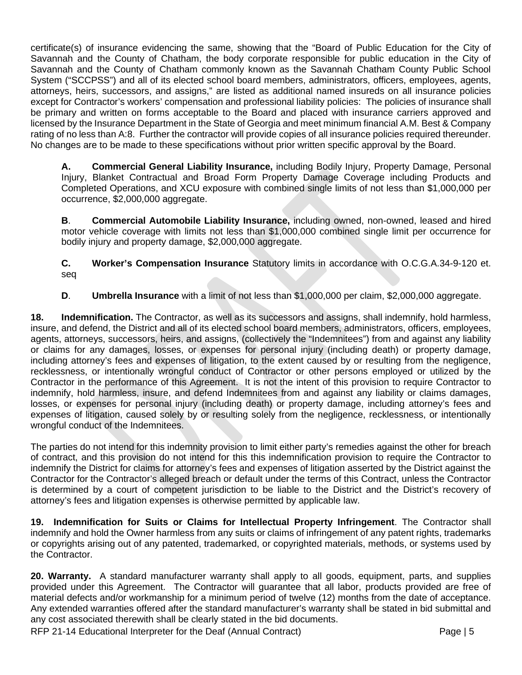certificate(s) of insurance evidencing the same, showing that the "Board of Public Education for the City of Savannah and the County of Chatham, the body corporate responsible for public education in the City of Savannah and the County of Chatham commonly known as the Savannah Chatham County Public School System ("SCCPSS") and all of its elected school board members, administrators, officers, employees, agents, attorneys, heirs, successors, and assigns," are listed as additional named insureds on all insurance policies except for Contractor's workers' compensation and professional liability policies: The policies of insurance shall be primary and written on forms acceptable to the Board and placed with insurance carriers approved and licensed by the Insurance Department in the State of Georgia and meet minimum financial A.M. Best & Company rating of no less than A:8. Further the contractor will provide copies of all insurance policies required thereunder. No changes are to be made to these specifications without prior written specific approval by the Board.

**A. Commercial General Liability Insurance,** including Bodily Injury, Property Damage, Personal Injury, Blanket Contractual and Broad Form Property Damage Coverage including Products and Completed Operations, and XCU exposure with combined single limits of not less than \$1,000,000 per occurrence, \$2,000,000 aggregate.

**B**. **Commercial Automobile Liability Insurance,** including owned, non-owned, leased and hired motor vehicle coverage with limits not less than \$1,000,000 combined single limit per occurrence for bodily injury and property damage, \$2,000,000 aggregate.

**C. Worker's Compensation Insurance** Statutory limits in accordance with O.C.G.A.34-9-120 et. seq

**D**. **Umbrella Insurance** with a limit of not less than \$1,000,000 per claim, \$2,000,000 aggregate.

**18. Indemnification.** The Contractor, as well as its successors and assigns, shall indemnify, hold harmless, insure, and defend, the District and all of its elected school board members, administrators, officers, employees, agents, attorneys, successors, heirs, and assigns, (collectively the "Indemnitees") from and against any liability or claims for any damages, losses, or expenses for personal injury (including death) or property damage, including attorney's fees and expenses of litigation, to the extent caused by or resulting from the negligence, recklessness, or intentionally wrongful conduct of Contractor or other persons employed or utilized by the Contractor in the performance of this Agreement. It is not the intent of this provision to require Contractor to indemnify, hold harmless, insure, and defend Indemnitees from and against any liability or claims damages, losses, or expenses for personal injury (including death) or property damage, including attorney's fees and expenses of litigation, caused solely by or resulting solely from the negligence, recklessness, or intentionally wrongful conduct of the Indemnitees.

The parties do not intend for this indemnity provision to limit either party's remedies against the other for breach of contract, and this provision do not intend for this this indemnification provision to require the Contractor to indemnify the District for claims for attorney's fees and expenses of litigation asserted by the District against the Contractor for the Contractor's alleged breach or default under the terms of this Contract, unless the Contractor is determined by a court of competent jurisdiction to be liable to the District and the District's recovery of attorney's fees and litigation expenses is otherwise permitted by applicable law.

**19. Indemnification for Suits or Claims for Intellectual Property Infringement**. The Contractor shall indemnify and hold the Owner harmless from any suits or claims of infringement of any patent rights, trademarks or copyrights arising out of any patented, trademarked, or copyrighted materials, methods, or systems used by the Contractor.

**20. Warranty.** A standard manufacturer warranty shall apply to all goods, equipment, parts, and supplies provided under this Agreement. The Contractor will guarantee that all labor, products provided are free of material defects and/or workmanship for a minimum period of twelve (12) months from the date of acceptance. Any extended warranties offered after the standard manufacturer's warranty shall be stated in bid submittal and any cost associated therewith shall be clearly stated in the bid documents.

RFP 21-14 Educational Interpreter for the Deaf (Annual Contract) **Page | 5** Page | 5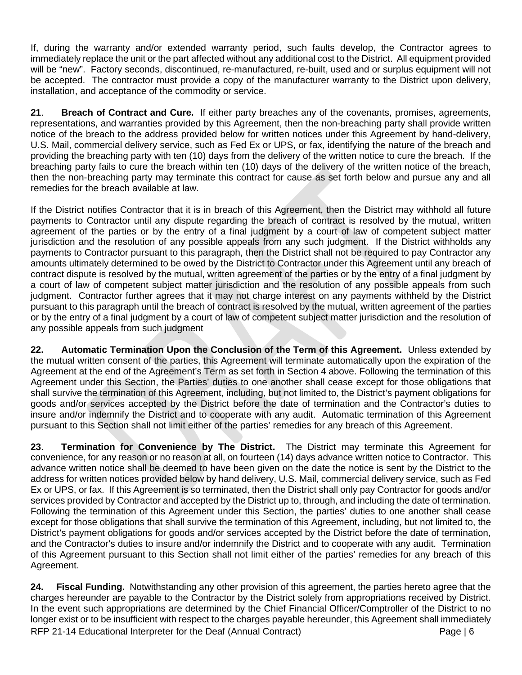If, during the warranty and/or extended warranty period, such faults develop, the Contractor agrees to immediately replace the unit or the part affected without any additional cost to the District. All equipment provided will be "new". Factory seconds, discontinued, re-manufactured, re-built, used and or surplus equipment will not be accepted. The contractor must provide a copy of the manufacturer warranty to the District upon delivery, installation, and acceptance of the commodity or service.

**21**. **Breach of Contract and Cure.** If either party breaches any of the covenants, promises, agreements, representations, and warranties provided by this Agreement, then the non-breaching party shall provide written notice of the breach to the address provided below for written notices under this Agreement by hand-delivery, U.S. Mail, commercial delivery service, such as Fed Ex or UPS, or fax, identifying the nature of the breach and providing the breaching party with ten (10) days from the delivery of the written notice to cure the breach. If the breaching party fails to cure the breach within ten (10) days of the delivery of the written notice of the breach, then the non-breaching party may terminate this contract for cause as set forth below and pursue any and all remedies for the breach available at law.

If the District notifies Contractor that it is in breach of this Agreement, then the District may withhold all future payments to Contractor until any dispute regarding the breach of contract is resolved by the mutual, written agreement of the parties or by the entry of a final judgment by a court of law of competent subject matter jurisdiction and the resolution of any possible appeals from any such judgment. If the District withholds any payments to Contractor pursuant to this paragraph, then the District shall not be required to pay Contractor any amounts ultimately determined to be owed by the District to Contractor under this Agreement until any breach of contract dispute is resolved by the mutual, written agreement of the parties or by the entry of a final judgment by a court of law of competent subject matter jurisdiction and the resolution of any possible appeals from such judgment. Contractor further agrees that it may not charge interest on any payments withheld by the District pursuant to this paragraph until the breach of contract is resolved by the mutual, written agreement of the parties or by the entry of a final judgment by a court of law of competent subject matter jurisdiction and the resolution of any possible appeals from such judgment

**22. Automatic Termination Upon the Conclusion of the Term of this Agreement.** Unless extended by the mutual written consent of the parties, this Agreement will terminate automatically upon the expiration of the Agreement at the end of the Agreement's Term as set forth in Section 4 above. Following the termination of this Agreement under this Section, the Parties' duties to one another shall cease except for those obligations that shall survive the termination of this Agreement, including, but not limited to, the District's payment obligations for goods and/or services accepted by the District before the date of termination and the Contractor's duties to insure and/or indemnify the District and to cooperate with any audit. Automatic termination of this Agreement pursuant to this Section shall not limit either of the parties' remedies for any breach of this Agreement.

**23**. **Termination for Convenience by The District.** The District may terminate this Agreement for convenience, for any reason or no reason at all, on fourteen (14) days advance written notice to Contractor. This advance written notice shall be deemed to have been given on the date the notice is sent by the District to the address for written notices provided below by hand delivery, U.S. Mail, commercial delivery service, such as Fed Ex or UPS, or fax. If this Agreement is so terminated, then the District shall only pay Contractor for goods and/or services provided by Contractor and accepted by the District up to, through, and including the date of termination. Following the termination of this Agreement under this Section, the parties' duties to one another shall cease except for those obligations that shall survive the termination of this Agreement, including, but not limited to, the District's payment obligations for goods and/or services accepted by the District before the date of termination, and the Contractor's duties to insure and/or indemnify the District and to cooperate with any audit. Termination of this Agreement pursuant to this Section shall not limit either of the parties' remedies for any breach of this Agreement.

RFP 21-14 Educational Interpreter for the Deaf (Annual Contract) entitled and the Page | 6 **24. Fiscal Funding.** Notwithstanding any other provision of this agreement, the parties hereto agree that the charges hereunder are payable to the Contractor by the District solely from appropriations received by District. In the event such appropriations are determined by the Chief Financial Officer/Comptroller of the District to no longer exist or to be insufficient with respect to the charges payable hereunder, this Agreement shall immediately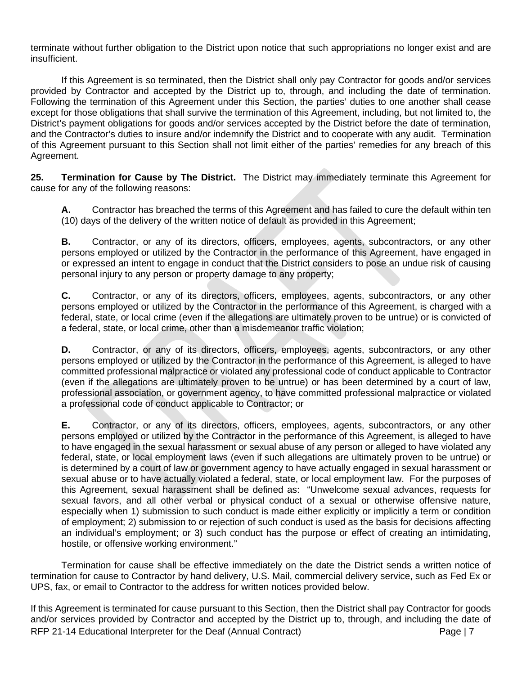terminate without further obligation to the District upon notice that such appropriations no longer exist and are insufficient.

If this Agreement is so terminated, then the District shall only pay Contractor for goods and/or services provided by Contractor and accepted by the District up to, through, and including the date of termination. Following the termination of this Agreement under this Section, the parties' duties to one another shall cease except for those obligations that shall survive the termination of this Agreement, including, but not limited to, the District's payment obligations for goods and/or services accepted by the District before the date of termination, and the Contractor's duties to insure and/or indemnify the District and to cooperate with any audit. Termination of this Agreement pursuant to this Section shall not limit either of the parties' remedies for any breach of this Agreement.

**25. Termination for Cause by The District.** The District may immediately terminate this Agreement for cause for any of the following reasons:

**A.** Contractor has breached the terms of this Agreement and has failed to cure the default within ten (10) days of the delivery of the written notice of default as provided in this Agreement;

**B.** Contractor, or any of its directors, officers, employees, agents, subcontractors, or any other persons employed or utilized by the Contractor in the performance of this Agreement, have engaged in or expressed an intent to engage in conduct that the District considers to pose an undue risk of causing personal injury to any person or property damage to any property;

**C.** Contractor, or any of its directors, officers, employees, agents, subcontractors, or any other persons employed or utilized by the Contractor in the performance of this Agreement, is charged with a federal, state, or local crime (even if the allegations are ultimately proven to be untrue) or is convicted of a federal, state, or local crime, other than a misdemeanor traffic violation;

**D.** Contractor, or any of its directors, officers, employees, agents, subcontractors, or any other persons employed or utilized by the Contractor in the performance of this Agreement, is alleged to have committed professional malpractice or violated any professional code of conduct applicable to Contractor (even if the allegations are ultimately proven to be untrue) or has been determined by a court of law, professional association, or government agency, to have committed professional malpractice or violated a professional code of conduct applicable to Contractor; or

**E.** Contractor, or any of its directors, officers, employees, agents, subcontractors, or any other persons employed or utilized by the Contractor in the performance of this Agreement, is alleged to have to have engaged in the sexual harassment or sexual abuse of any person or alleged to have violated any federal, state, or local employment laws (even if such allegations are ultimately proven to be untrue) or is determined by a court of law or government agency to have actually engaged in sexual harassment or sexual abuse or to have actually violated a federal, state, or local employment law. For the purposes of this Agreement, sexual harassment shall be defined as: "Unwelcome sexual advances, requests for sexual favors, and all other verbal or physical conduct of a sexual or otherwise offensive nature, especially when 1) submission to such conduct is made either explicitly or implicitly a term or condition of employment; 2) submission to or rejection of such conduct is used as the basis for decisions affecting an individual's employment; or 3) such conduct has the purpose or effect of creating an intimidating, hostile, or offensive working environment."

Termination for cause shall be effective immediately on the date the District sends a written notice of termination for cause to Contractor by hand delivery, U.S. Mail, commercial delivery service, such as Fed Ex or UPS, fax, or email to Contractor to the address for written notices provided below.

RFP 21-14 Educational Interpreter for the Deaf (Annual Contract) **Page | 7** Page | 7 If this Agreement is terminated for cause pursuant to this Section, then the District shall pay Contractor for goods and/or services provided by Contractor and accepted by the District up to, through, and including the date of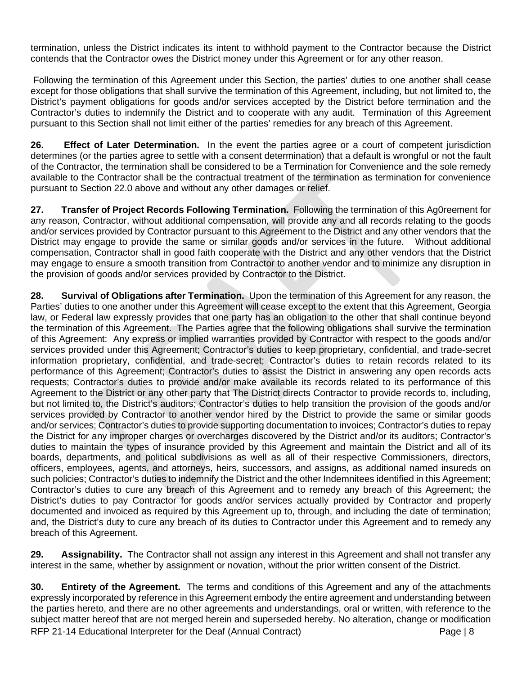termination, unless the District indicates its intent to withhold payment to the Contractor because the District contends that the Contractor owes the District money under this Agreement or for any other reason.

Following the termination of this Agreement under this Section, the parties' duties to one another shall cease except for those obligations that shall survive the termination of this Agreement, including, but not limited to, the District's payment obligations for goods and/or services accepted by the District before termination and the Contractor's duties to indemnify the District and to cooperate with any audit. Termination of this Agreement pursuant to this Section shall not limit either of the parties' remedies for any breach of this Agreement.

**26. Effect of Later Determination.** In the event the parties agree or a court of competent jurisdiction determines (or the parties agree to settle with a consent determination) that a default is wrongful or not the fault of the Contractor, the termination shall be considered to be a Termination for Convenience and the sole remedy available to the Contractor shall be the contractual treatment of the termination as termination for convenience pursuant to Section 22.0 above and without any other damages or relief.

**27. Transfer of Project Records Following Termination.** Following the termination of this Ag0reement for any reason, Contractor, without additional compensation, will provide any and all records relating to the goods and/or services provided by Contractor pursuant to this Agreement to the District and any other vendors that the District may engage to provide the same or similar goods and/or services in the future. Without additional compensation, Contractor shall in good faith cooperate with the District and any other vendors that the District may engage to ensure a smooth transition from Contractor to another vendor and to minimize any disruption in the provision of goods and/or services provided by Contractor to the District.

**28. Survival of Obligations after Termination.** Upon the termination of this Agreement for any reason, the Parties' duties to one another under this Agreement will cease except to the extent that this Agreement, Georgia law, or Federal law expressly provides that one party has an obligation to the other that shall continue beyond the termination of this Agreement. The Parties agree that the following obligations shall survive the termination of this Agreement: Any express or implied warranties provided by Contractor with respect to the goods and/or services provided under this Agreement; Contractor's duties to keep proprietary, confidential, and trade-secret information proprietary, confidential, and trade-secret; Contractor's duties to retain records related to its performance of this Agreement; Contractor's duties to assist the District in answering any open records acts requests; Contractor's duties to provide and/or make available its records related to its performance of this Agreement to the District or any other party that The District directs Contractor to provide records to, including, but not limited to, the District's auditors; Contractor's duties to help transition the provision of the goods and/or services provided by Contractor to another vendor hired by the District to provide the same or similar goods and/or services; Contractor's duties to provide supporting documentation to invoices; Contractor's duties to repay the District for any improper charges or overcharges discovered by the District and/or its auditors; Contractor's duties to maintain the types of insurance provided by this Agreement and maintain the District and all of its boards, departments, and political subdivisions as well as all of their respective Commissioners, directors, officers, employees, agents, and attorneys, heirs, successors, and assigns, as additional named insureds on such policies; Contractor's duties to indemnify the District and the other Indemnitees identified in this Agreement; Contractor's duties to cure any breach of this Agreement and to remedy any breach of this Agreement; the District's duties to pay Contractor for goods and/or services actually provided by Contractor and properly documented and invoiced as required by this Agreement up to, through, and including the date of termination; and, the District's duty to cure any breach of its duties to Contractor under this Agreement and to remedy any breach of this Agreement.

**29. Assignability.** The Contractor shall not assign any interest in this Agreement and shall not transfer any interest in the same, whether by assignment or novation, without the prior written consent of the District.

RFP 21-14 Educational Interpreter for the Deaf (Annual Contract) **Page | 8** Page | 8 **30. Entirety of the Agreement.** The terms and conditions of this Agreement and any of the attachments expressly incorporated by reference in this Agreement embody the entire agreement and understanding between the parties hereto, and there are no other agreements and understandings, oral or written, with reference to the subject matter hereof that are not merged herein and superseded hereby. No alteration, change or modification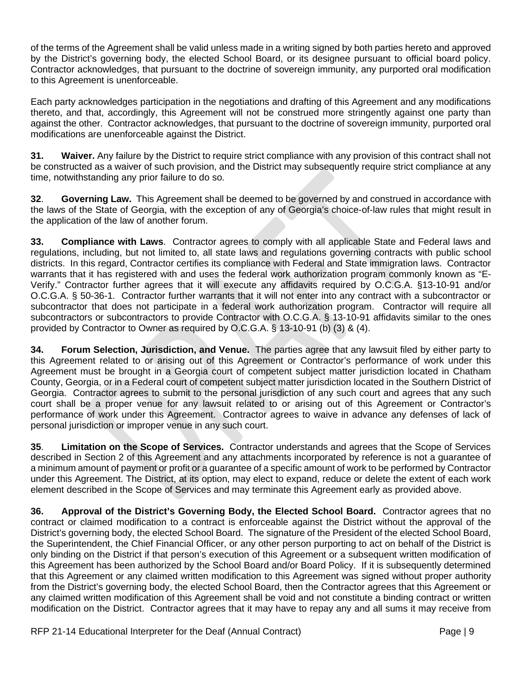of the terms of the Agreement shall be valid unless made in a writing signed by both parties hereto and approved by the District's governing body, the elected School Board, or its designee pursuant to official board policy. Contractor acknowledges, that pursuant to the doctrine of sovereign immunity, any purported oral modification to this Agreement is unenforceable.

Each party acknowledges participation in the negotiations and drafting of this Agreement and any modifications thereto, and that, accordingly, this Agreement will not be construed more stringently against one party than against the other. Contractor acknowledges, that pursuant to the doctrine of sovereign immunity, purported oral modifications are unenforceable against the District.

**31. Waiver.** Any failure by the District to require strict compliance with any provision of this contract shall not be constructed as a waiver of such provision, and the District may subsequently require strict compliance at any time, notwithstanding any prior failure to do so.

**32**. **Governing Law.** This Agreement shall be deemed to be governed by and construed in accordance with the laws of the State of Georgia, with the exception of any of Georgia's choice-of-law rules that might result in the application of the law of another forum.

**33. Compliance with Laws**. Contractor agrees to comply with all applicable State and Federal laws and regulations, including, but not limited to, all state laws and regulations governing contracts with public school districts. In this regard, Contractor certifies its compliance with Federal and State immigration laws. Contractor warrants that it has registered with and uses the federal work authorization program commonly known as "E-Verify." Contractor further agrees that it will execute any affidavits required by O.C.G.A. §13-10-91 and/or O.C.G.A. § 50-36-1. Contractor further warrants that it will not enter into any contract with a subcontractor or subcontractor that does not participate in a federal work authorization program. Contractor will require all subcontractors or subcontractors to provide Contractor with O.C.G.A. § 13-10-91 affidavits similar to the ones provided by Contractor to Owner as required by O.C.G.A. § 13-10-91 (b) (3) & (4).

**34. Forum Selection, Jurisdiction, and Venue.** The parties agree that any lawsuit filed by either party to this Agreement related to or arising out of this Agreement or Contractor's performance of work under this Agreement must be brought in a Georgia court of competent subject matter jurisdiction located in Chatham County, Georgia, or in a Federal court of competent subject matter jurisdiction located in the Southern District of Georgia. Contractor agrees to submit to the personal jurisdiction of any such court and agrees that any such court shall be a proper venue for any lawsuit related to or arising out of this Agreement or Contractor's performance of work under this Agreement. Contractor agrees to waive in advance any defenses of lack of personal jurisdiction or improper venue in any such court.

**35**. **Limitation on the Scope of Services.** Contractor understands and agrees that the Scope of Services described in Section 2 of this Agreement and any attachments incorporated by reference is not a guarantee of a minimum amount of payment or profit or a guarantee of a specific amount of work to be performed by Contractor under this Agreement. The District, at its option, may elect to expand, reduce or delete the extent of each work element described in the Scope of Services and may terminate this Agreement early as provided above.

**36. Approval of the District's Governing Body, the Elected School Board.** Contractor agrees that no contract or claimed modification to a contract is enforceable against the District without the approval of the District's governing body, the elected School Board. The signature of the President of the elected School Board, the Superintendent, the Chief Financial Officer, or any other person purporting to act on behalf of the District is only binding on the District if that person's execution of this Agreement or a subsequent written modification of this Agreement has been authorized by the School Board and/or Board Policy. If it is subsequently determined that this Agreement or any claimed written modification to this Agreement was signed without proper authority from the District's governing body, the elected School Board, then the Contractor agrees that this Agreement or any claimed written modification of this Agreement shall be void and not constitute a binding contract or written modification on the District. Contractor agrees that it may have to repay any and all sums it may receive from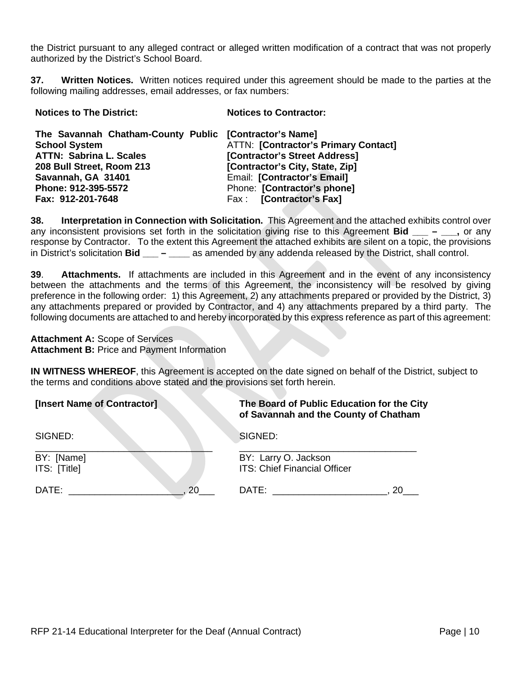the District pursuant to any alleged contract or alleged written modification of a contract that was not properly authorized by the District's School Board.

**37. Written Notices.** Written notices required under this agreement should be made to the parties at the following mailing addresses, email addresses, or fax numbers:

| <b>Notices to The District:</b>                        | <b>Notices to Contractor:</b>               |
|--------------------------------------------------------|---------------------------------------------|
| The Savannah Chatham-County Public [Contractor's Name] |                                             |
| <b>School System</b>                                   | <b>ATTN: [Contractor's Primary Contact]</b> |
| <b>ATTN: Sabrina L. Scales</b>                         | [Contractor's Street Address]               |
| 208 Bull Street, Room 213                              | [Contractor's City, State, Zip]             |
| Savannah, GA 31401                                     | Email: [Contractor's Email]                 |
| Phone: 912-395-5572                                    | Phone: [Contractor's phone]                 |
| Fax: 912-201-7648                                      | Fax: [Contractor's Fax]                     |

**38. Interpretation in Connection with Solicitation.** This Agreement and the attached exhibits control over any inconsistent provisions set forth in the solicitation giving rise to this Agreement **Bid**  $\qquad -$  **.** or any response by Contractor. To the extent this Agreement the attached exhibits are silent on a topic, the provisions in District's solicitation **Bid \_\_\_ – \_\_\_\_** as amended by any addenda released by the District, shall control.

**39**. **Attachments.** If attachments are included in this Agreement and in the event of any inconsistency between the attachments and the terms of this Agreement, the inconsistency will be resolved by giving preference in the following order: 1) this Agreement, 2) any attachments prepared or provided by the District, 3) any attachments prepared or provided by Contractor, and 4) any attachments prepared by a third party. The following documents are attached to and hereby incorporated by this express reference as part of this agreement:

**Attachment A:** Scope of Services **Attachment B:** Price and Payment Information

**IN WITNESS WHEREOF**, this Agreement is accepted on the date signed on behalf of the District, subject to the terms and conditions above stated and the provisions set forth herein.

| [Insert Name of Contractor] | The Board of Public Education for the City<br>of Savannah and the County of Chatham |
|-----------------------------|-------------------------------------------------------------------------------------|
| SIGNED:                     | SIGNED:                                                                             |
| BY: [Name]                  | BY: Larry O. Jackson                                                                |
| ITS: [Title]                | <b>ITS: Chief Financial Officer</b>                                                 |
| DATE:                       | DATE:                                                                               |
| 20                          | 20                                                                                  |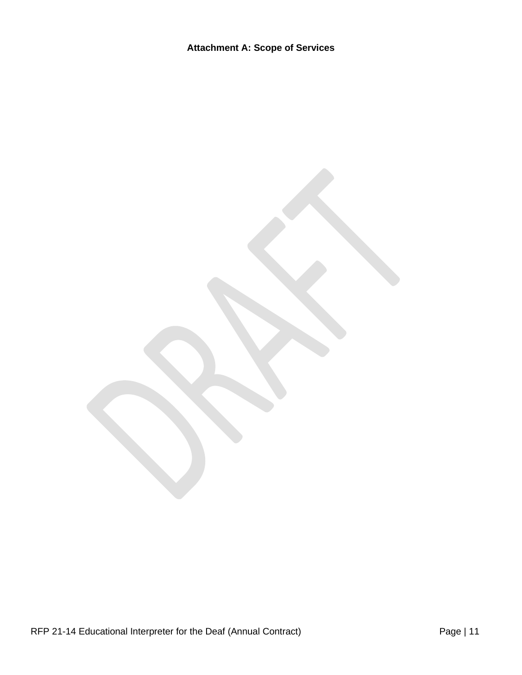RFP 21-14 Educational Interpreter for the Deaf (Annual Contract) Page | 11